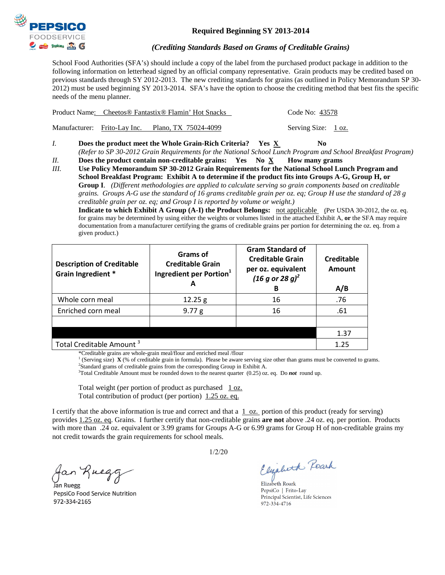

## **Required Beginning SY 2013-2014**

## *(Crediting Standards Based on Grams of Creditable Grains)*

School Food Authorities (SFA's) should include a copy of the label from the purchased product package in addition to the following information on letterhead signed by an official company representative. Grain products may be credited based on previous standards through SY 2012-2013. The new crediting standards for grains (as outlined in Policy Memorandum SP 30- 2012) must be used beginning SY 2013-2014. SFA's have the option to choose the crediting method that best fits the specific needs of the menu planner.

| Product Name: Cheetos <sup>®</sup> Fantastix <sup>®</sup> Flamin' Hot Snacks |                                                   |                     | Code No: 43578 |  |
|------------------------------------------------------------------------------|---------------------------------------------------|---------------------|----------------|--|
|                                                                              | Manufacturer: Frito-Lay Inc. Plano, TX 75024-4099 | Serving Size: 1 oz. |                |  |

- *I.* **Does the product meet the Whole Grain-Rich Criteria?** Yes  $\underline{X}$  No *(Refer to SP 30-2012 Grain Requirements for the National School Lunch Program and School Breakfast Program)*
- *II.* **Does the product contain non-creditable grains: Yes No X How many grams**
- *III.* **Use Policy Memorandum SP 30-2012 Grain Requirements for the National School Lunch Program and School Breakfast Program: Exhibit A to determine if the product fits into Groups A-G, Group H, or Group I**. *(Different methodologies are applied to calculate serving so grain components based on creditable grains. Groups A-G use the standard of 16 grams creditable grain per oz. eq; Group H use the standard of 28 g creditable grain per oz. eq; and Group I is reported by volume or weight.)*

**Indicate to which Exhibit A Group (A-I) the Product Belongs:** not applicable(Per USDA 30-2012, the oz. eq. for grains may be determined by using either the weights or volumes listed in the attached Exhibit A, **or** the SFA may require documentation from a manufacturer certifying the grams of creditable grains per portion for determining the oz. eq. from a given product.)

| <b>Description of Creditable</b><br>Grain Ingredient * | Grams of<br><b>Creditable Grain</b><br>Ingredient per Portion <sup>1</sup><br>А | <b>Gram Standard of</b><br><b>Creditable Grain</b><br>per oz. equivalent<br>$(16 g or 28 g)^2$<br>в | Creditable<br><b>Amount</b><br>A/B |
|--------------------------------------------------------|---------------------------------------------------------------------------------|-----------------------------------------------------------------------------------------------------|------------------------------------|
| Whole corn meal                                        | 12.25 g                                                                         | 16                                                                                                  | .76                                |
| Enriched corn meal                                     | 9.77 g                                                                          | 16                                                                                                  | .61                                |
|                                                        |                                                                                 |                                                                                                     |                                    |
|                                                        |                                                                                 |                                                                                                     | 1.37                               |
| Total Creditable Amount <sup>3</sup>                   |                                                                                 |                                                                                                     | 1.25                               |

\*Creditable grains are whole-grain meal/flour and enriched meal /flour

<sup>1</sup> (Serving size) **X** (% of creditable grain in formula). Please be aware serving size other than grams must be converted to grams. <sup>2</sup>Standard grams of creditable grains from the corresponding Group in Exhibit A.

3 Total Creditable Amount must be rounded down to the nearest quarter (0.25) oz. eq. Do *not* round up.

Total weight (per portion of product as purchased  $1 oz$ . Total contribution of product (per portion) 1.25 oz. eq.

I certify that the above information is true and correct and that a  $1$  oz. portion of this product (ready for serving) provides 1.25 oz. eq. Grains. I further certify that non-creditable grains **are not** above .24 oz. eq. per portion. Products with more than .24 oz. equivalent or 3.99 grams for Groups A-G or 6.99 grams for Group H of non-creditable grains my not credit towards the grain requirements for school meals.

Jan Ruegg

PepsiCo Food Service Nutrition 972-334-2165

1/2/20

Elizabeth Reark

Elizabeth Roark PepsiCo | Frito-Lay Principal Scientist, Life Sciences 972-334-4716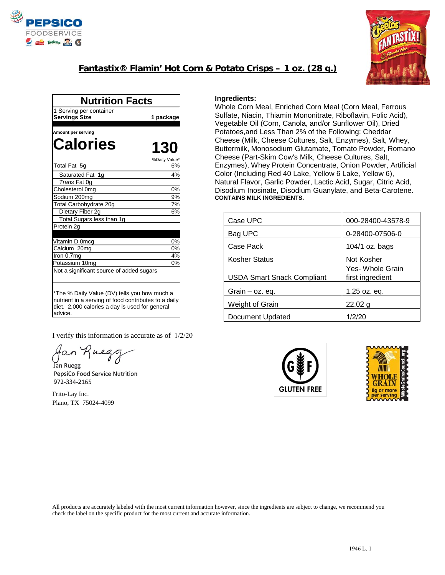

## **Fantastix® Flamin' Hot Corn & Potato Crisps – 1 oz. (28 g.)**



| <b>Nutrition Facts</b>                                                                                                                                            |                     |  |
|-------------------------------------------------------------------------------------------------------------------------------------------------------------------|---------------------|--|
| 1 Serving per container                                                                                                                                           |                     |  |
| <b>Servings Size</b>                                                                                                                                              | 1 package           |  |
|                                                                                                                                                                   |                     |  |
| Amount per serving                                                                                                                                                |                     |  |
| <b>Calories</b>                                                                                                                                                   | <b>130</b>          |  |
|                                                                                                                                                                   | %Daily Value'<br>6% |  |
| Total Fat 5g                                                                                                                                                      |                     |  |
| Saturated Fat 1g                                                                                                                                                  | 4%                  |  |
| Trans Fat 0g                                                                                                                                                      |                     |  |
| Cholesterol 0mg                                                                                                                                                   | 0%                  |  |
| Sodium 200mg                                                                                                                                                      | 9%                  |  |
| Total Carbohydrate 20g                                                                                                                                            | 7%                  |  |
| Dietary Fiber 2g                                                                                                                                                  | 6%                  |  |
| Total Sugars less than 1g                                                                                                                                         |                     |  |
| Protein 2g                                                                                                                                                        |                     |  |
|                                                                                                                                                                   |                     |  |
| Vitamin D 0mcq                                                                                                                                                    | 0%                  |  |
| Calcium 20mg<br>Iron 0.7mg                                                                                                                                        | 0%<br>4%            |  |
| Potassium 10mg                                                                                                                                                    | 0%                  |  |
| Not a significant source of added sugars                                                                                                                          |                     |  |
|                                                                                                                                                                   |                     |  |
| *The % Daily Value (DV) tells you how much a<br>nutrient in a serving of food contributes to a daily<br>diet. 2,000 calories a day is used for general<br>advice. |                     |  |

I verify this information is accurate as of 1/2/20

an Rueg

Jan Ruegg PepsiCo Food Service Nutrition 972-334-2165

Frito-Lay Inc. Plano, TX 75024-4099

## **Ingredients:**

Whole Corn Meal, Enriched Corn Meal (Corn Meal, Ferrous Sulfate, Niacin, Thiamin Mononitrate, Riboflavin, Folic Acid), Vegetable Oil (Corn, Canola, and/or Sunflower Oil), Dried Potatoes,and Less Than 2% of the Following: Cheddar Cheese (Milk, Cheese Cultures, Salt, Enzymes), Salt, Whey, Buttermilk, Monosodium Glutamate, Tomato Powder, Romano Cheese (Part-Skim Cow's Milk, Cheese Cultures, Salt, Enzymes), Whey Protein Concentrate, Onion Powder, Artificial Color (Including Red 40 Lake, Yellow 6 Lake, Yellow 6), Natural Flavor, Garlic Powder, Lactic Acid, Sugar, Citric Acid, Disodium Inosinate, Disodium Guanylate, and Beta-Carotene. **CONTAINS MILK INGREDIENTS.**

| Case UPC                          | 000-28400-43578-9                    |  |
|-----------------------------------|--------------------------------------|--|
| Bag UPC                           | 0-28400-07506-0                      |  |
| Case Pack                         | 104/1 oz. bags                       |  |
| <b>Kosher Status</b>              | Not Kosher                           |  |
| <b>USDA Smart Snack Compliant</b> | Yes- Whole Grain<br>first ingredient |  |
| Grain $-$ oz. eq.                 | 1.25 oz. eq.                         |  |
| Weight of Grain                   | 22.02 a                              |  |
| Document Updated                  | 1/2/20                               |  |





All products are accurately labeled with the most current information however, since the ingredients are subject to change, we recommend you check the label on the specific product for the most current and accurate information.